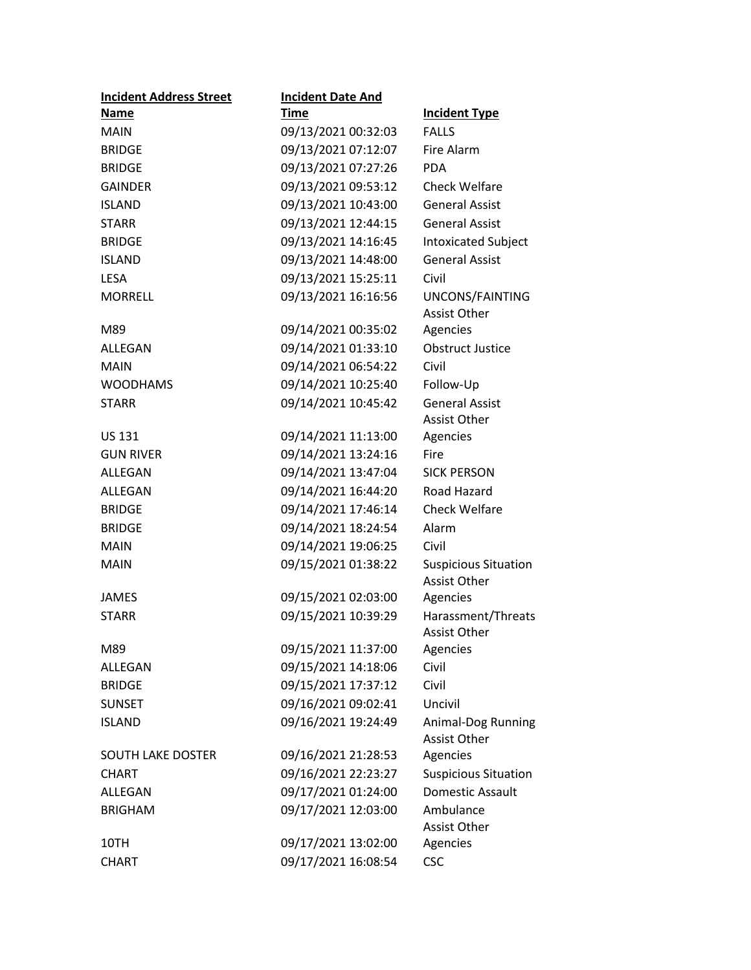| <b>Incident Address Street</b> | <b>Incident Date And</b> |                                                    |
|--------------------------------|--------------------------|----------------------------------------------------|
| <b>Name</b>                    | <u>Time</u>              | <b>Incident Type</b>                               |
| <b>MAIN</b>                    | 09/13/2021 00:32:03      | <b>FALLS</b>                                       |
| <b>BRIDGE</b>                  | 09/13/2021 07:12:07      | Fire Alarm                                         |
| <b>BRIDGE</b>                  | 09/13/2021 07:27:26      | <b>PDA</b>                                         |
| <b>GAINDER</b>                 | 09/13/2021 09:53:12      | <b>Check Welfare</b>                               |
| <b>ISLAND</b>                  | 09/13/2021 10:43:00      | <b>General Assist</b>                              |
| <b>STARR</b>                   | 09/13/2021 12:44:15      | <b>General Assist</b>                              |
| <b>BRIDGE</b>                  | 09/13/2021 14:16:45      | <b>Intoxicated Subject</b>                         |
| <b>ISLAND</b>                  | 09/13/2021 14:48:00      | <b>General Assist</b>                              |
| <b>LESA</b>                    | 09/13/2021 15:25:11      | Civil                                              |
| <b>MORRELL</b>                 | 09/13/2021 16:16:56      | UNCONS/FAINTING<br>Assist Other                    |
| M89                            | 09/14/2021 00:35:02      | Agencies                                           |
| ALLEGAN                        | 09/14/2021 01:33:10      | <b>Obstruct Justice</b>                            |
| <b>MAIN</b>                    | 09/14/2021 06:54:22      | Civil                                              |
| <b>WOODHAMS</b>                | 09/14/2021 10:25:40      | Follow-Up                                          |
| <b>STARR</b>                   | 09/14/2021 10:45:42      | <b>General Assist</b><br><b>Assist Other</b>       |
| <b>US 131</b>                  | 09/14/2021 11:13:00      | Agencies                                           |
| <b>GUN RIVER</b>               | 09/14/2021 13:24:16      | Fire                                               |
| ALLEGAN                        | 09/14/2021 13:47:04      | <b>SICK PERSON</b>                                 |
| ALLEGAN                        | 09/14/2021 16:44:20      | Road Hazard                                        |
| <b>BRIDGE</b>                  | 09/14/2021 17:46:14      | <b>Check Welfare</b>                               |
| <b>BRIDGE</b>                  | 09/14/2021 18:24:54      | Alarm                                              |
| <b>MAIN</b>                    | 09/14/2021 19:06:25      | Civil                                              |
| <b>MAIN</b>                    | 09/15/2021 01:38:22      | <b>Suspicious Situation</b><br><b>Assist Other</b> |
| <b>JAMES</b>                   | 09/15/2021 02:03:00      | Agencies                                           |
| <b>STARR</b>                   | 09/15/2021 10:39:29      | Harassment/Threats<br><b>Assist Other</b>          |
| M89                            | 09/15/2021 11:37:00      | Agencies                                           |
| ALLEGAN                        | 09/15/2021 14:18:06      | Civil                                              |
| <b>BRIDGE</b>                  | 09/15/2021 17:37:12      | Civil                                              |
| <b>SUNSET</b>                  | 09/16/2021 09:02:41      | Uncivil                                            |
| <b>ISLAND</b>                  | 09/16/2021 19:24:49      | Animal-Dog Running<br><b>Assist Other</b>          |
| <b>SOUTH LAKE DOSTER</b>       | 09/16/2021 21:28:53      | Agencies                                           |
| <b>CHART</b>                   | 09/16/2021 22:23:27      | <b>Suspicious Situation</b>                        |
| ALLEGAN                        | 09/17/2021 01:24:00      | Domestic Assault                                   |
| <b>BRIGHAM</b>                 | 09/17/2021 12:03:00      | Ambulance<br>Assist Other                          |
| 10TH                           | 09/17/2021 13:02:00      | Agencies                                           |
| <b>CHART</b>                   | 09/17/2021 16:08:54      | <b>CSC</b>                                         |